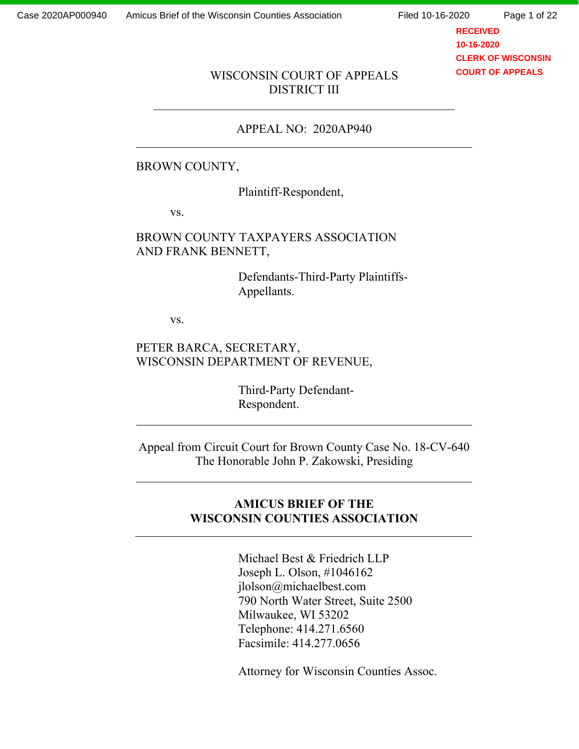Page 1 of 22

**RECEIVED 10-16-2020 CLERK OF WISCONSIN COURT OF APPEALS**

#### WISCONSIN COURT OF APPEALS DISTRICT III

#### APPEAL NO: 2020AP940

### BROWN COUNTY,

Plaintiff-Respondent,

vs.

# BROWN COUNTY TAXPAYERS ASSOCIATION AND FRANK BENNETT,

Defendants-Third-Party Plaintiffs-Appellants.

vs.

# PETER BARCA, SECRETARY, WISCONSIN DEPARTMENT OF REVENUE,

Third-Party Defendant-Respondent.

Appeal from Circuit Court for Brown County Case No. 18-CV-640 The Honorable John P. Zakowski, Presiding

# **AMICUS BRIEF OF THE WISCONSIN COUNTIES ASSOCIATION**

Michael Best & Friedrich LLP Joseph L. Olson, #1046162 jlolson@michaelbest.com 790 North Water Street, Suite 2500 Milwaukee, WI 53202 Telephone: 414.271.6560 Facsimile: 414.277.0656

Attorney for Wisconsin Counties Assoc.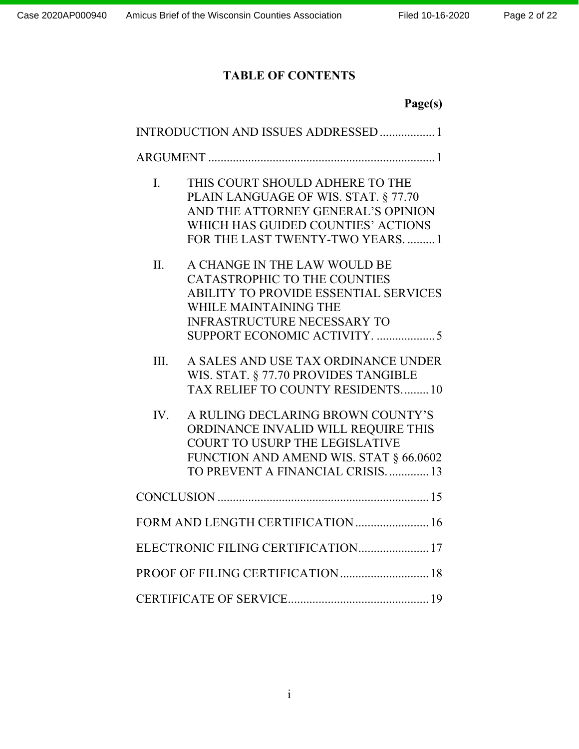# **TABLE OF CONTENTS**

|                | Page(s)                                                                                                                                                                                        |
|----------------|------------------------------------------------------------------------------------------------------------------------------------------------------------------------------------------------|
|                | INTRODUCTION AND ISSUES ADDRESSED 1                                                                                                                                                            |
|                |                                                                                                                                                                                                |
| $\mathbf{I}$ . | THIS COURT SHOULD ADHERE TO THE<br>PLAIN LANGUAGE OF WIS. STAT. § 77.70<br>AND THE ATTORNEY GENERAL'S OPINION<br>WHICH HAS GUIDED COUNTIES' ACTIONS<br>FOR THE LAST TWENTY-TWO YEARS1          |
| II.            | A CHANGE IN THE LAW WOULD BE<br><b>CATASTROPHIC TO THE COUNTIES</b><br><b>ABILITY TO PROVIDE ESSENTIAL SERVICES</b><br>WHILE MAINTAINING THE<br><b>INFRASTRUCTURE NECESSARY TO</b>             |
| III.           | A SALES AND USE TAX ORDINANCE UNDER<br>WIS. STAT. § 77.70 PROVIDES TANGIBLE<br>TAX RELIEF TO COUNTY RESIDENTS10                                                                                |
| IV.            | A RULING DECLARING BROWN COUNTY'S<br>ORDINANCE INVALID WILL REQUIRE THIS<br><b>COURT TO USURP THE LEGISLATIVE</b><br>FUNCTION AND AMEND WIS. STAT § 66.0602<br>TO PREVENT A FINANCIAL CRISIS13 |
|                |                                                                                                                                                                                                |
|                | FORM AND LENGTH CERTIFICATION  16                                                                                                                                                              |
|                | ELECTRONIC FILING CERTIFICATION 17                                                                                                                                                             |
|                | PROOF OF FILING CERTIFICATION 18                                                                                                                                                               |
|                |                                                                                                                                                                                                |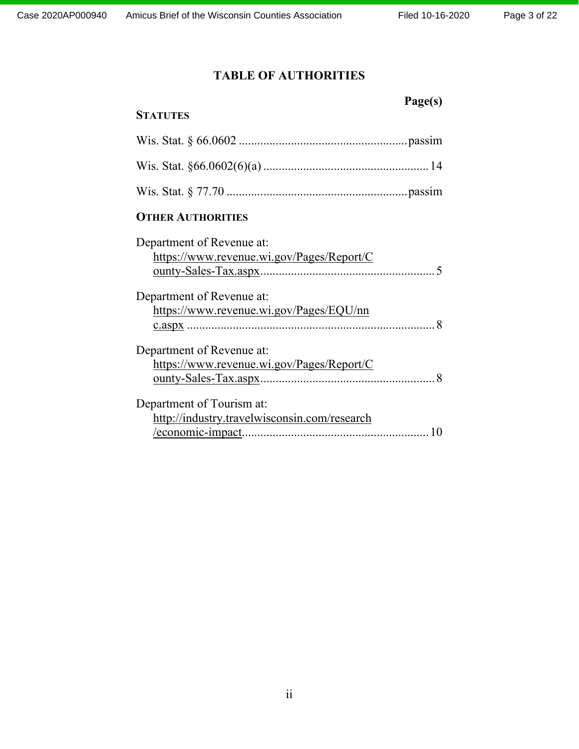# **TABLE OF AUTHORITIES**

 **Page(s)** 

# **STATUTES**

# **OTHER AUTHORITIES**

| Department of Revenue at:                    |
|----------------------------------------------|
| https://www.revenue.wi.gov/Pages/Report/C    |
|                                              |
| Department of Revenue at:                    |
| https://www.revenue.wi.gov/Pages/EQU/nn      |
|                                              |
| Department of Revenue at:                    |
| https://www.revenue.wi.gov/Pages/Report/C    |
|                                              |
| Department of Tourism at:                    |
| http://industry.travelwisconsin.com/research |
|                                              |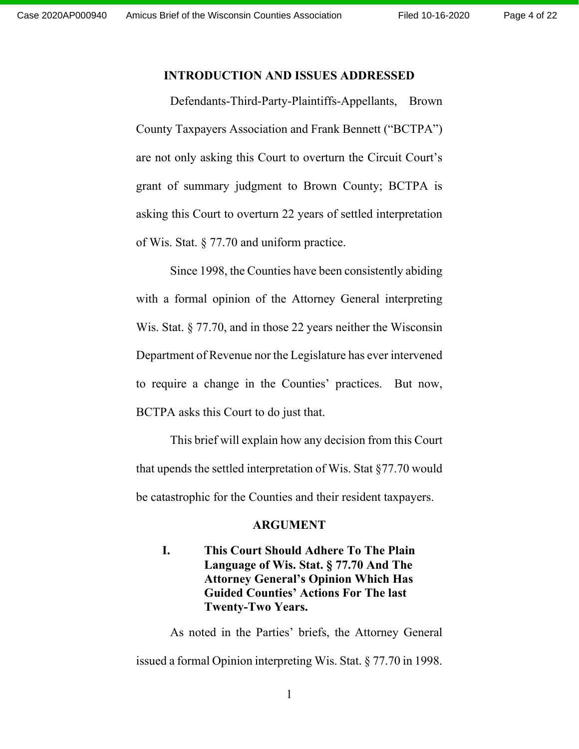#### **INTRODUCTION AND ISSUES ADDRESSED**

 Defendants-Third-Party-Plaintiffs-Appellants, Brown County Taxpayers Association and Frank Bennett ("BCTPA") are not only asking this Court to overturn the Circuit Court's grant of summary judgment to Brown County; BCTPA is asking this Court to overturn 22 years of settled interpretation of Wis. Stat. § 77.70 and uniform practice.

Since 1998, the Counties have been consistently abiding with a formal opinion of the Attorney General interpreting Wis. Stat. § 77.70, and in those 22 years neither the Wisconsin Department of Revenue nor the Legislature has ever intervened to require a change in the Counties' practices. But now, BCTPA asks this Court to do just that.

This brief will explain how any decision from this Court that upends the settled interpretation of Wis. Stat §77.70 would be catastrophic for the Counties and their resident taxpayers.

#### **ARGUMENT**

# **I. This Court Should Adhere To The Plain Language of Wis. Stat. § 77.70 And The Attorney General's Opinion Which Has Guided Counties' Actions For The last Twenty-Two Years.**

As noted in the Parties' briefs, the Attorney General issued a formal Opinion interpreting Wis. Stat. § 77.70 in 1998.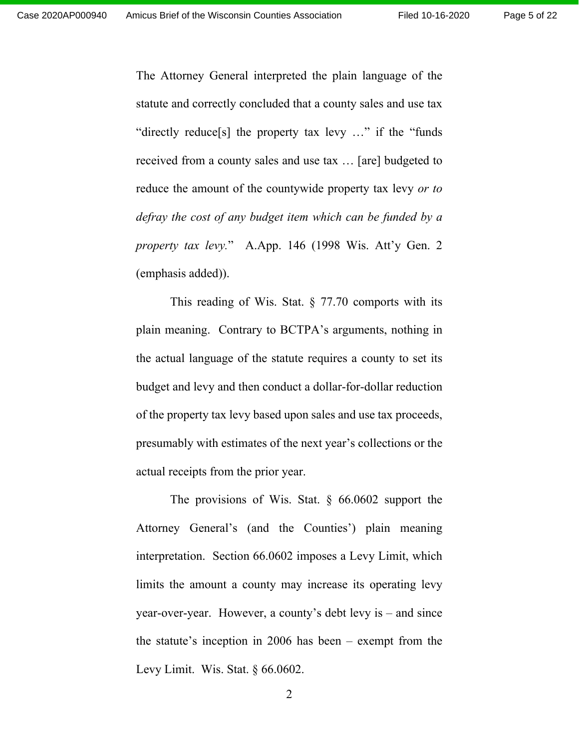Page 5 of 22

The Attorney General interpreted the plain language of the statute and correctly concluded that a county sales and use tax "directly reduce[s] the property tax levy …" if the "funds received from a county sales and use tax … [are] budgeted to reduce the amount of the countywide property tax levy *or to defray the cost of any budget item which can be funded by a property tax levy.*" A.App. 146 (1998 Wis. Att'y Gen. 2 (emphasis added)).

This reading of Wis. Stat.  $\S$  77.70 comports with its plain meaning. Contrary to BCTPA's arguments, nothing in the actual language of the statute requires a county to set its budget and levy and then conduct a dollar-for-dollar reduction of the property tax levy based upon sales and use tax proceeds, presumably with estimates of the next year's collections or the actual receipts from the prior year.

The provisions of Wis. Stat. § 66.0602 support the Attorney General's (and the Counties') plain meaning interpretation. Section 66.0602 imposes a Levy Limit, which limits the amount a county may increase its operating levy year-over-year. However, a county's debt levy is – and since the statute's inception in 2006 has been – exempt from the Levy Limit. Wis. Stat. § 66.0602.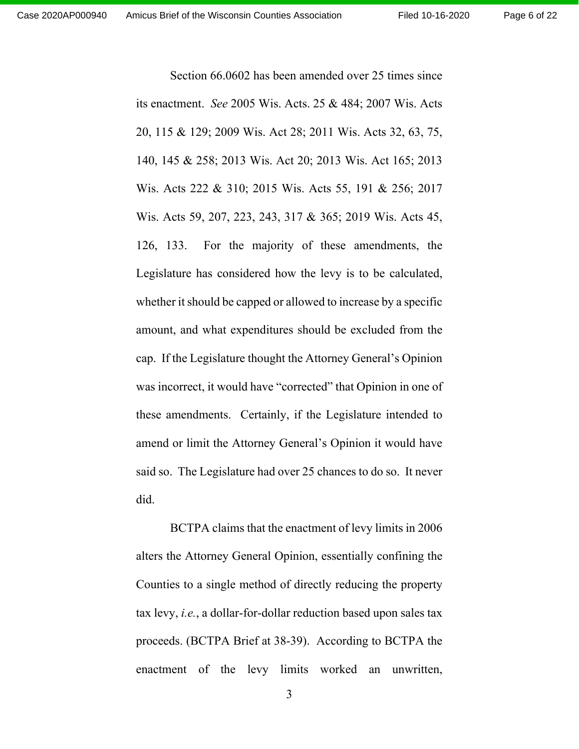Section 66.0602 has been amended over 25 times since its enactment. *See* 2005 Wis. Acts. 25 & 484; 2007 Wis. Acts 20, 115 & 129; 2009 Wis. Act 28; 2011 Wis. Acts 32, 63, 75, 140, 145 & 258; 2013 Wis. Act 20; 2013 Wis. Act 165; 2013 Wis. Acts 222 & 310; 2015 Wis. Acts 55, 191 & 256; 2017 Wis. Acts 59, 207, 223, 243, 317 & 365; 2019 Wis. Acts 45, 126, 133. For the majority of these amendments, the Legislature has considered how the levy is to be calculated, whether it should be capped or allowed to increase by a specific amount, and what expenditures should be excluded from the cap. If the Legislature thought the Attorney General's Opinion was incorrect, it would have "corrected" that Opinion in one of these amendments. Certainly, if the Legislature intended to amend or limit the Attorney General's Opinion it would have said so. The Legislature had over 25 chances to do so. It never did.

BCTPA claims that the enactment of levy limits in 2006 alters the Attorney General Opinion, essentially confining the Counties to a single method of directly reducing the property tax levy, *i.e.*, a dollar-for-dollar reduction based upon sales tax proceeds. (BCTPA Brief at 38-39). According to BCTPA the enactment of the levy limits worked an unwritten,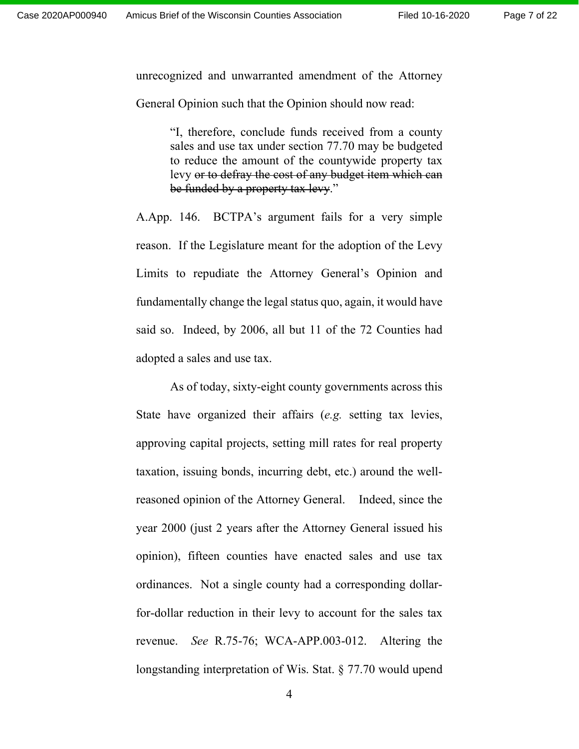unrecognized and unwarranted amendment of the Attorney

General Opinion such that the Opinion should now read:

"I, therefore, conclude funds received from a county sales and use tax under section 77.70 may be budgeted to reduce the amount of the countywide property tax levy or to defray the cost of any budget item which can be funded by a property tax levy."

A.App. 146. BCTPA's argument fails for a very simple reason. If the Legislature meant for the adoption of the Levy Limits to repudiate the Attorney General's Opinion and fundamentally change the legal status quo, again, it would have said so. Indeed, by 2006, all but 11 of the 72 Counties had adopted a sales and use tax.

As of today, sixty-eight county governments across this State have organized their affairs (*e.g.* setting tax levies, approving capital projects, setting mill rates for real property taxation, issuing bonds, incurring debt, etc.) around the wellreasoned opinion of the Attorney General. Indeed, since the year 2000 (just 2 years after the Attorney General issued his opinion), fifteen counties have enacted sales and use tax ordinances. Not a single county had a corresponding dollarfor-dollar reduction in their levy to account for the sales tax revenue. *See* R.75-76; WCA-APP.003-012.Altering the longstanding interpretation of Wis. Stat. § 77.70 would upend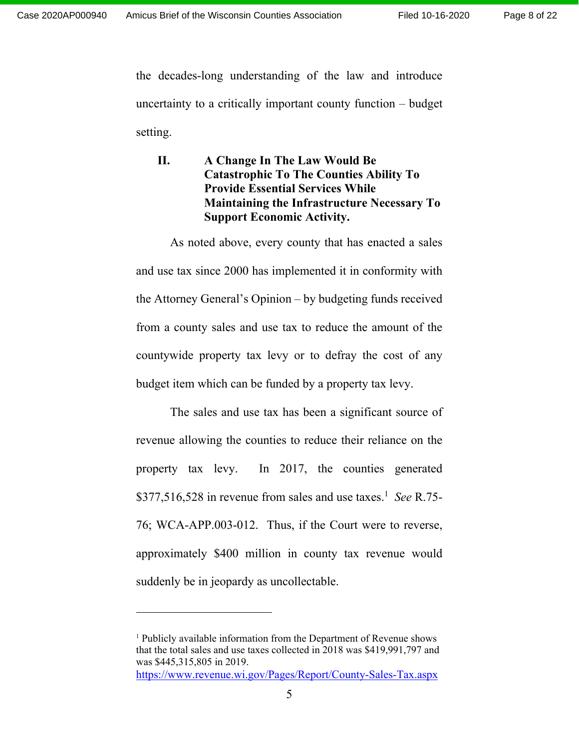the decades-long understanding of the law and introduce uncertainty to a critically important county function – budget setting.

**II. A Change In The Law Would Be Catastrophic To The Counties Ability To Provide Essential Services While Maintaining the Infrastructure Necessary To Support Economic Activity.** 

As noted above, every county that has enacted a sales and use tax since 2000 has implemented it in conformity with the Attorney General's Opinion – by budgeting funds received from a county sales and use tax to reduce the amount of the countywide property tax levy or to defray the cost of any budget item which can be funded by a property tax levy.

The sales and use tax has been a significant source of revenue allowing the counties to reduce their reliance on the property tax levy. In 2017, the counties generated \$377,516,528 in revenue from sales and use taxes.<sup>1</sup> See R.75-76; WCA-APP.003-012. Thus, if the Court were to reverse, approximately \$400 million in county tax revenue would suddenly be in jeopardy as uncollectable.

<sup>&</sup>lt;sup>1</sup> Publicly available information from the Department of Revenue shows that the total sales and use taxes collected in 2018 was \$419,991,797 and was \$445,315,805 in 2019.

https://www.revenue.wi.gov/Pages/Report/County-Sales-Tax.aspx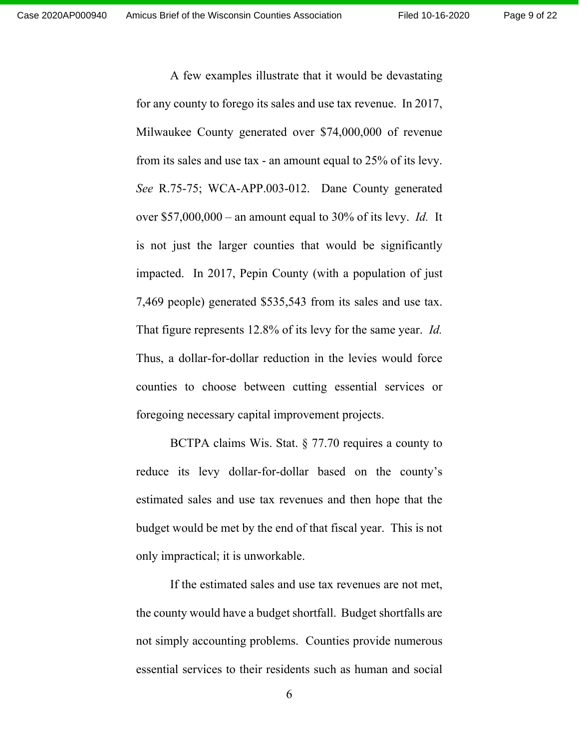A few examples illustrate that it would be devastating for any county to forego its sales and use tax revenue. In 2017, Milwaukee County generated over \$74,000,000 of revenue from its sales and use tax - an amount equal to 25% of its levy. *See* R.75-75; WCA-APP.003-012. Dane County generated over \$57,000,000 – an amount equal to 30% of its levy. *Id.* It is not just the larger counties that would be significantly impacted. In 2017, Pepin County (with a population of just 7,469 people) generated \$535,543 from its sales and use tax. That figure represents 12.8% of its levy for the same year. *Id.* Thus, a dollar-for-dollar reduction in the levies would force counties to choose between cutting essential services or foregoing necessary capital improvement projects.

BCTPA claims Wis. Stat. § 77.70 requires a county to reduce its levy dollar-for-dollar based on the county's estimated sales and use tax revenues and then hope that the budget would be met by the end of that fiscal year. This is not only impractical; it is unworkable.

If the estimated sales and use tax revenues are not met, the county would have a budget shortfall. Budget shortfalls are not simply accounting problems. Counties provide numerous essential services to their residents such as human and social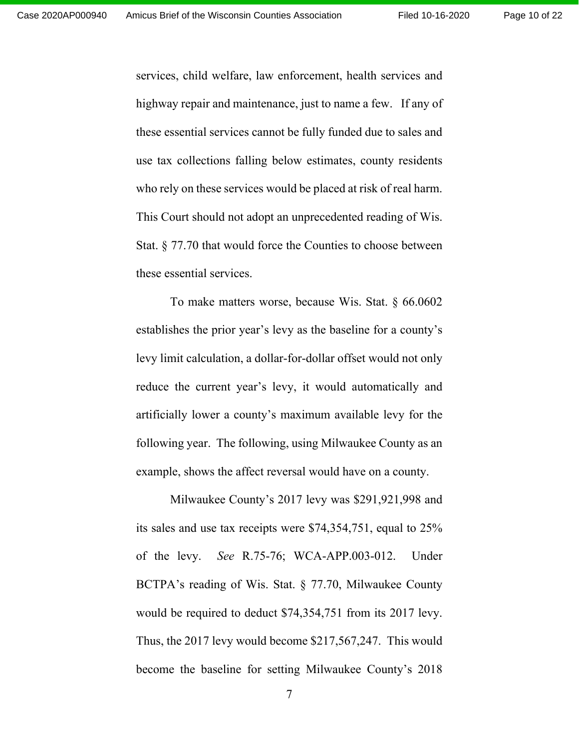Page 10 of 22

services, child welfare, law enforcement, health services and highway repair and maintenance, just to name a few. If any of these essential services cannot be fully funded due to sales and use tax collections falling below estimates, county residents who rely on these services would be placed at risk of real harm. This Court should not adopt an unprecedented reading of Wis. Stat. § 77.70 that would force the Counties to choose between these essential services.

To make matters worse, because Wis. Stat. § 66.0602 establishes the prior year's levy as the baseline for a county's levy limit calculation, a dollar-for-dollar offset would not only reduce the current year's levy, it would automatically and artificially lower a county's maximum available levy for the following year. The following, using Milwaukee County as an example, shows the affect reversal would have on a county.

Milwaukee County's 2017 levy was \$291,921,998 and its sales and use tax receipts were \$74,354,751, equal to 25% of the levy. *See* R.75-76; WCA-APP.003-012. Under BCTPA's reading of Wis. Stat. § 77.70, Milwaukee County would be required to deduct \$74,354,751 from its 2017 levy. Thus, the 2017 levy would become \$217,567,247. This would become the baseline for setting Milwaukee County's 2018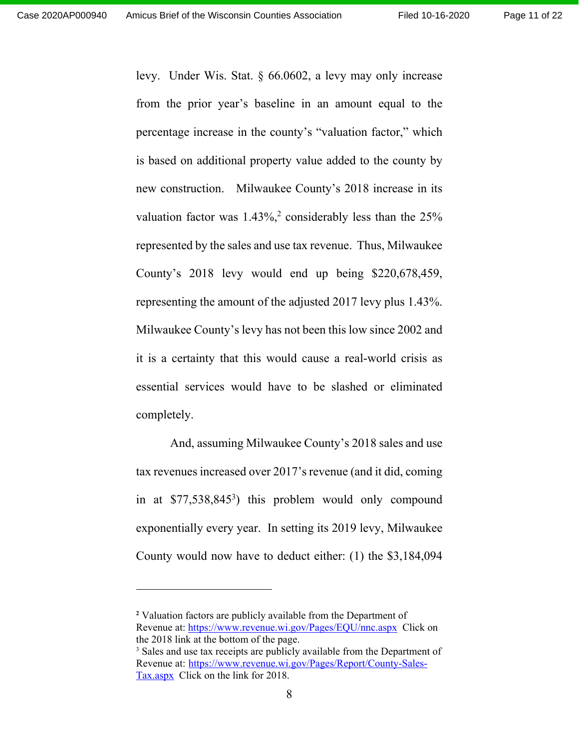levy. Under Wis. Stat. § 66.0602, a levy may only increase from the prior year's baseline in an amount equal to the percentage increase in the county's "valuation factor," which is based on additional property value added to the county by new construction. Milwaukee County's 2018 increase in its valuation factor was  $1.43\%,^2$  considerably less than the  $25\%$ represented by the sales and use tax revenue. Thus, Milwaukee County's 2018 levy would end up being \$220,678,459, representing the amount of the adjusted 2017 levy plus 1.43%. Milwaukee County's levy has not been this low since 2002 and it is a certainty that this would cause a real-world crisis as essential services would have to be slashed or eliminated completely.

And, assuming Milwaukee County's 2018 sales and use tax revenues increased over 2017's revenue (and it did, coming in at \$77,538,8453 ) this problem would only compound exponentially every year. In setting its 2019 levy, Milwaukee County would now have to deduct either: (1) the \$3,184,094

**<sup>2</sup>** Valuation factors are publicly available from the Department of Revenue at: https://www.revenue.wi.gov/Pages/EQU/nnc.aspx Click on the 2018 link at the bottom of the page. <sup>3</sup> Sales and use tax receipts are publicly available from the Department of Revenue at: https://www.revenue.wi.gov/Pages/Report/County-Sales-Tax.aspx Click on the link for 2018.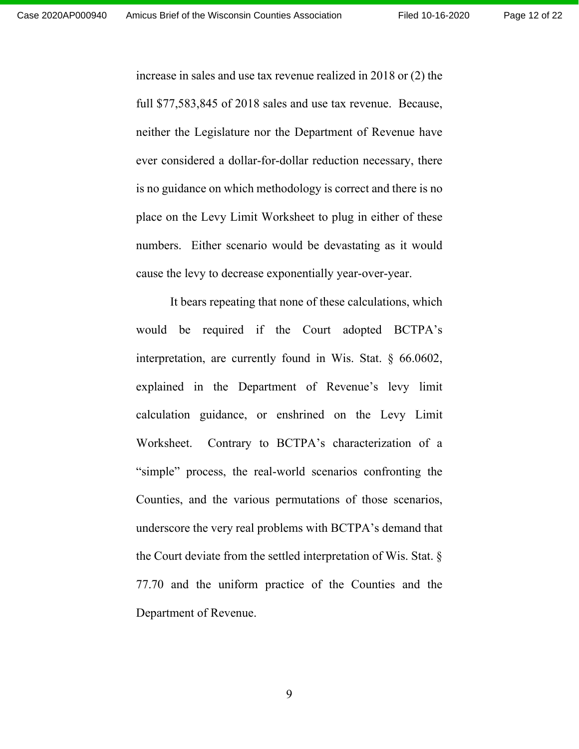increase in sales and use tax revenue realized in 2018 or (2) the full \$77,583,845 of 2018 sales and use tax revenue. Because, neither the Legislature nor the Department of Revenue have ever considered a dollar-for-dollar reduction necessary, there is no guidance on which methodology is correct and there is no place on the Levy Limit Worksheet to plug in either of these numbers. Either scenario would be devastating as it would cause the levy to decrease exponentially year-over-year.

It bears repeating that none of these calculations, which would be required if the Court adopted BCTPA's interpretation, are currently found in Wis. Stat. § 66.0602, explained in the Department of Revenue's levy limit calculation guidance, or enshrined on the Levy Limit Worksheet. Contrary to BCTPA's characterization of a "simple" process, the real-world scenarios confronting the Counties, and the various permutations of those scenarios, underscore the very real problems with BCTPA's demand that the Court deviate from the settled interpretation of Wis. Stat. § 77.70 and the uniform practice of the Counties and the Department of Revenue.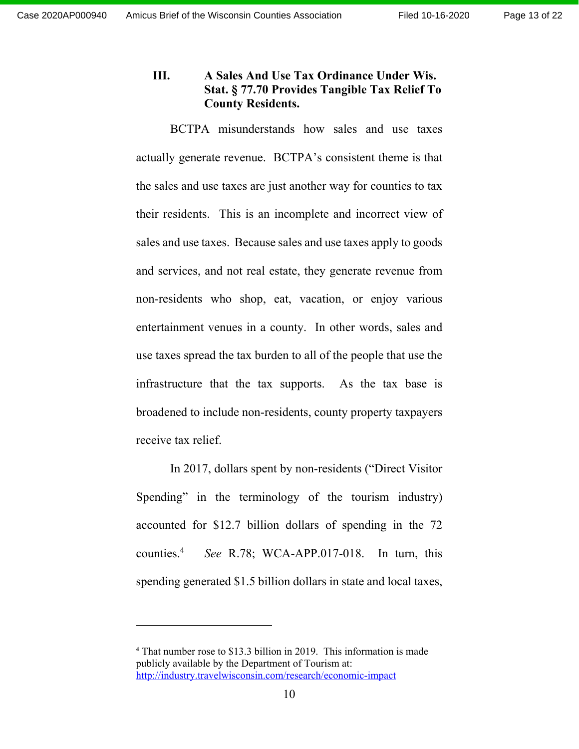# **III. A Sales And Use Tax Ordinance Under Wis. Stat. § 77.70 Provides Tangible Tax Relief To County Residents.**

BCTPA misunderstands how sales and use taxes actually generate revenue. BCTPA's consistent theme is that the sales and use taxes are just another way for counties to tax their residents. This is an incomplete and incorrect view of sales and use taxes. Because sales and use taxes apply to goods and services, and not real estate, they generate revenue from non-residents who shop, eat, vacation, or enjoy various entertainment venues in a county. In other words, sales and use taxes spread the tax burden to all of the people that use the infrastructure that the tax supports. As the tax base is broadened to include non-residents, county property taxpayers receive tax relief.

In 2017, dollars spent by non-residents ("Direct Visitor Spending" in the terminology of the tourism industry) accounted for \$12.7 billion dollars of spending in the 72 counties.4 *See* R.78; WCA-APP.017-018. In turn, this spending generated \$1.5 billion dollars in state and local taxes,

**<sup>4</sup>** That number rose to \$13.3 billion in 2019. This information is made publicly available by the Department of Tourism at: http://industry.travelwisconsin.com/research/economic-impact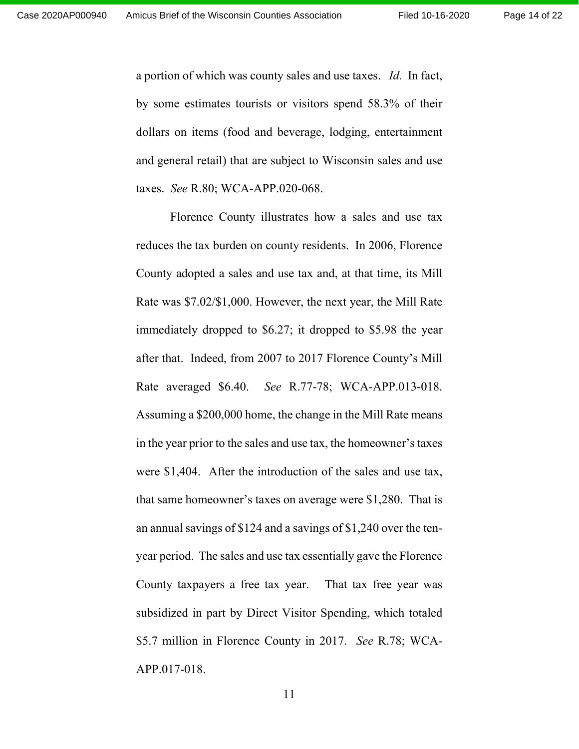a portion of which was county sales and use taxes. *Id.* In fact, by some estimates tourists or visitors spend 58.3% of their dollars on items (food and beverage, lodging, entertainment and general retail) that are subject to Wisconsin sales and use taxes. *See* R.80; WCA-APP.020-068.

Florence County illustrates how a sales and use tax reduces the tax burden on county residents. In 2006, Florence County adopted a sales and use tax and, at that time, its Mill Rate was \$7.02/\$1,000. However, the next year, the Mill Rate immediately dropped to \$6.27; it dropped to \$5.98 the year after that. Indeed, from 2007 to 2017 Florence County's Mill Rate averaged \$6.40. *See* R.77-78; WCA-APP.013-018. Assuming a \$200,000 home, the change in the Mill Rate means in the year prior to the sales and use tax, the homeowner's taxes were \$1,404. After the introduction of the sales and use tax, that same homeowner's taxes on average were \$1,280. That is an annual savings of \$124 and a savings of \$1,240 over the tenyear period. The sales and use tax essentially gave the Florence County taxpayers a free tax year. That tax free year was subsidized in part by Direct Visitor Spending, which totaled \$5.7 million in Florence County in 2017. *See* R.78; WCA-APP.017-018.

11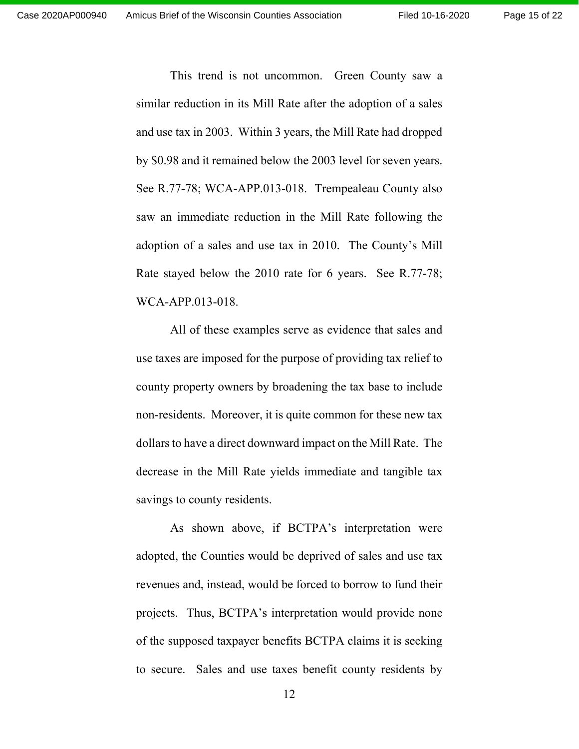This trend is not uncommon. Green County saw a similar reduction in its Mill Rate after the adoption of a sales and use tax in 2003. Within 3 years, the Mill Rate had dropped by \$0.98 and it remained below the 2003 level for seven years. See R.77-78; WCA-APP.013-018. Trempealeau County also saw an immediate reduction in the Mill Rate following the adoption of a sales and use tax in 2010. The County's Mill Rate stayed below the 2010 rate for 6 years. See R.77-78; WCA-APP.013-018.

All of these examples serve as evidence that sales and use taxes are imposed for the purpose of providing tax relief to county property owners by broadening the tax base to include non-residents. Moreover, it is quite common for these new tax dollars to have a direct downward impact on the Mill Rate. The decrease in the Mill Rate yields immediate and tangible tax savings to county residents.

As shown above, if BCTPA's interpretation were adopted, the Counties would be deprived of sales and use tax revenues and, instead, would be forced to borrow to fund their projects. Thus, BCTPA's interpretation would provide none of the supposed taxpayer benefits BCTPA claims it is seeking to secure. Sales and use taxes benefit county residents by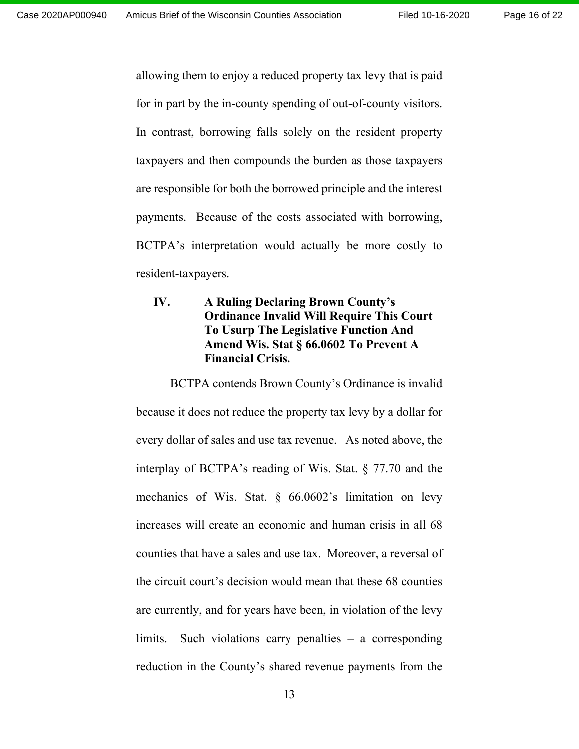allowing them to enjoy a reduced property tax levy that is paid for in part by the in-county spending of out-of-county visitors. In contrast, borrowing falls solely on the resident property taxpayers and then compounds the burden as those taxpayers are responsible for both the borrowed principle and the interest payments. Because of the costs associated with borrowing, BCTPA's interpretation would actually be more costly to resident-taxpayers.

# **IV. A Ruling Declaring Brown County's Ordinance Invalid Will Require This Court To Usurp The Legislative Function And Amend Wis. Stat § 66.0602 To Prevent A Financial Crisis.**

BCTPA contends Brown County's Ordinance is invalid because it does not reduce the property tax levy by a dollar for every dollar of sales and use tax revenue. As noted above, the interplay of BCTPA's reading of Wis. Stat. § 77.70 and the mechanics of Wis. Stat. § 66.0602's limitation on levy increases will create an economic and human crisis in all 68 counties that have a sales and use tax. Moreover, a reversal of the circuit court's decision would mean that these 68 counties are currently, and for years have been, in violation of the levy limits. Such violations carry penalties – a corresponding reduction in the County's shared revenue payments from the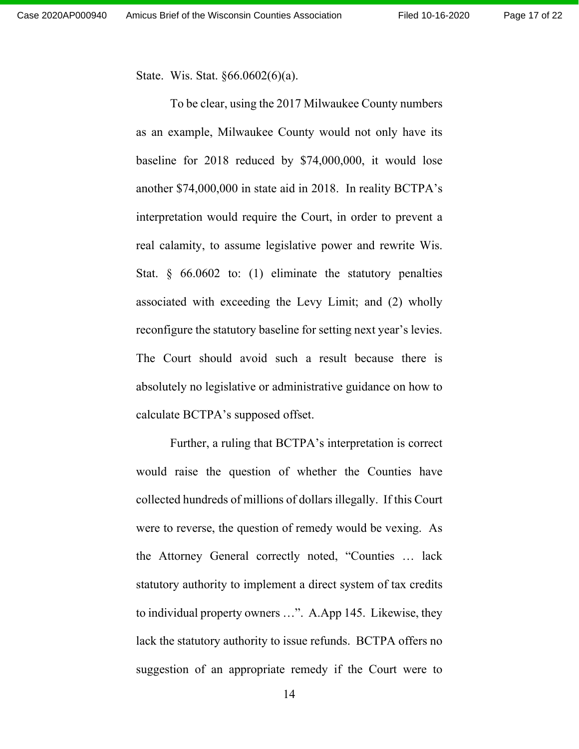State. Wis. Stat. §66.0602(6)(a).

To be clear, using the 2017 Milwaukee County numbers as an example, Milwaukee County would not only have its baseline for 2018 reduced by \$74,000,000, it would lose another \$74,000,000 in state aid in 2018. In reality BCTPA's interpretation would require the Court, in order to prevent a real calamity, to assume legislative power and rewrite Wis. Stat. § 66.0602 to: (1) eliminate the statutory penalties associated with exceeding the Levy Limit; and (2) wholly reconfigure the statutory baseline for setting next year's levies. The Court should avoid such a result because there is absolutely no legislative or administrative guidance on how to calculate BCTPA's supposed offset.

Further, a ruling that BCTPA's interpretation is correct would raise the question of whether the Counties have collected hundreds of millions of dollars illegally. If this Court were to reverse, the question of remedy would be vexing. As the Attorney General correctly noted, "Counties … lack statutory authority to implement a direct system of tax credits to individual property owners …". A.App 145. Likewise, they lack the statutory authority to issue refunds. BCTPA offers no suggestion of an appropriate remedy if the Court were to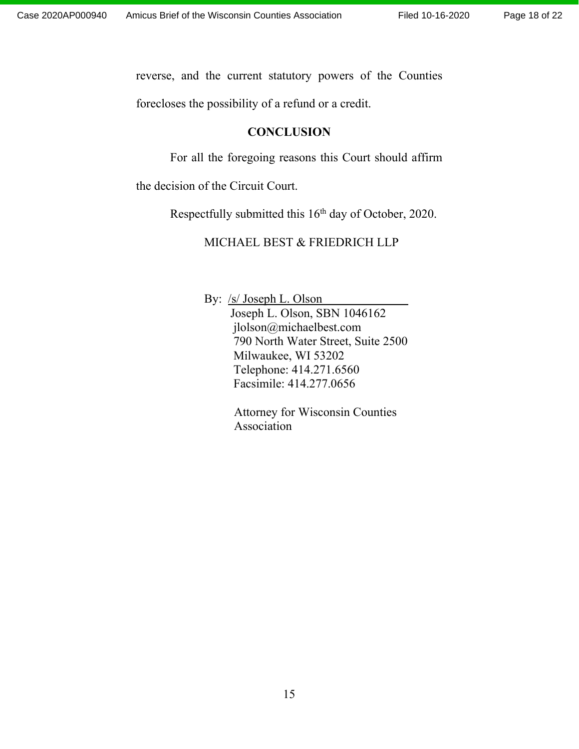reverse, and the current statutory powers of the Counties

forecloses the possibility of a refund or a credit.

### **CONCLUSION**

For all the foregoing reasons this Court should affirm

the decision of the Circuit Court.

Respectfully submitted this 16<sup>th</sup> day of October, 2020.

MICHAEL BEST & FRIEDRICH LLP

By: <u>/s/ Joseph L. Olson</u> Joseph L. Olson, SBN 1046162 jlolson@michaelbest.com 790 North Water Street, Suite 2500 Milwaukee, WI 53202 Telephone: 414.271.6560 Facsimile: 414.277.0656

> Attorney for Wisconsin Counties Association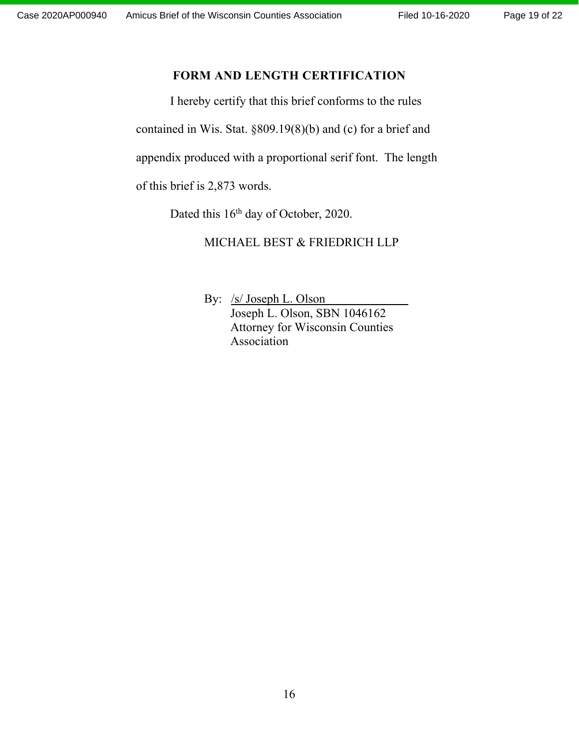# **FORM AND LENGTH CERTIFICATION**

I hereby certify that this brief conforms to the rules contained in Wis. Stat. §809.19(8)(b) and (c) for a brief and

appendix produced with a proportional serif font. The length

of this brief is 2,873 words.

Dated this 16<sup>th</sup> day of October, 2020.

MICHAEL BEST & FRIEDRICH LLP

By: /s/ Joseph L. Olson Joseph L. Olson, SBN 1046162 Attorney for Wisconsin Counties Association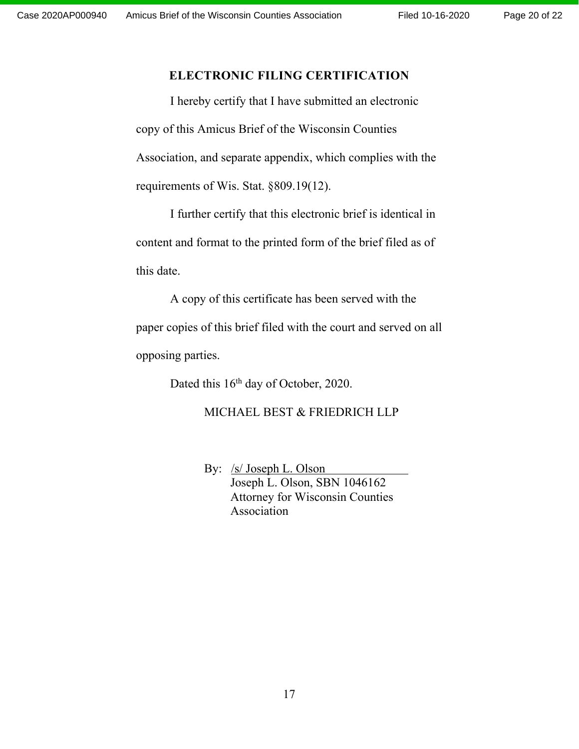# **ELECTRONIC FILING CERTIFICATION**

I hereby certify that I have submitted an electronic copy of this Amicus Brief of the Wisconsin Counties Association, and separate appendix, which complies with the requirements of Wis. Stat. §809.19(12).

 I further certify that this electronic brief is identical in content and format to the printed form of the brief filed as of this date.

 A copy of this certificate has been served with the paper copies of this brief filed with the court and served on all opposing parties.

Dated this 16<sup>th</sup> day of October, 2020.

### MICHAEL BEST & FRIEDRICH LLP

By: /s/ Joseph L. Olson Joseph L. Olson, SBN 1046162 Attorney for Wisconsin Counties Association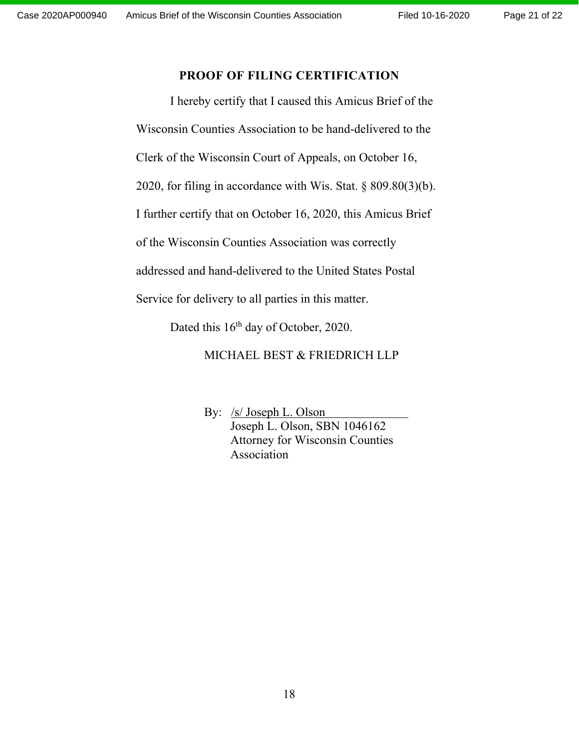# **PROOF OF FILING CERTIFICATION**

 I hereby certify that I caused this Amicus Brief of the Wisconsin Counties Association to be hand-delivered to the Clerk of the Wisconsin Court of Appeals, on October 16, 2020, for filing in accordance with Wis. Stat. § 809.80(3)(b). I further certify that on October 16, 2020, this Amicus Brief of the Wisconsin Counties Association was correctly addressed and hand-delivered to the United States Postal

Service for delivery to all parties in this matter.

Dated this 16<sup>th</sup> day of October, 2020.

### MICHAEL BEST & FRIEDRICH LLP

By: /s/ Joseph L. Olson Joseph L. Olson, SBN 1046162 Attorney for Wisconsin Counties Association